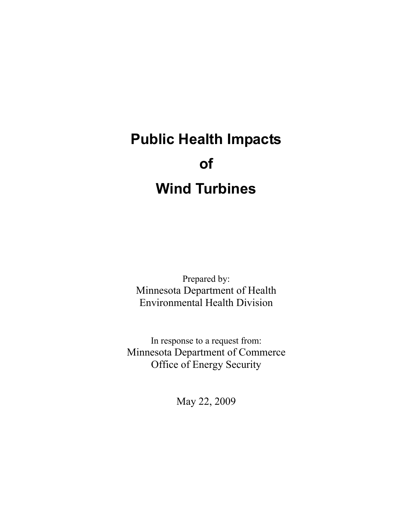# **Public Health Impacts of Wind Turbines**

Prepared by: Minnesota Department of Health Environmental Health Division

In response to a request from: Minnesota Department of Commerce Office of Energy Security

May 22, 2009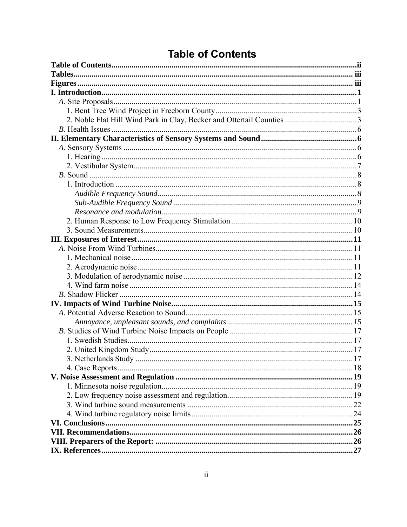| <b>Table of Contents</b> |
|--------------------------|
|--------------------------|

<span id="page-1-0"></span>

| 3. Netherlands Study | . 17 |
|----------------------|------|
|                      |      |
|                      |      |
|                      |      |
|                      |      |
|                      |      |
|                      |      |
|                      |      |
|                      |      |
|                      |      |
|                      |      |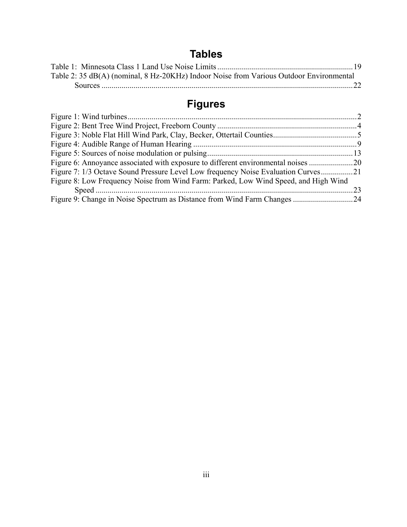# **Tables**

<span id="page-2-0"></span>

| Table 2: 35 dB(A) (nominal, 8 Hz-20KHz) Indoor Noise from Various Outdoor Environmental |  |
|-----------------------------------------------------------------------------------------|--|
|                                                                                         |  |

# **Figures**

| Figure 6: Annoyance associated with exposure to different environmental noises 20   |  |
|-------------------------------------------------------------------------------------|--|
| Figure 7: 1/3 Octave Sound Pressure Level Low frequency Noise Evaluation Curves21   |  |
| Figure 8: Low Frequency Noise from Wind Farm: Parked, Low Wind Speed, and High Wind |  |
|                                                                                     |  |
|                                                                                     |  |
|                                                                                     |  |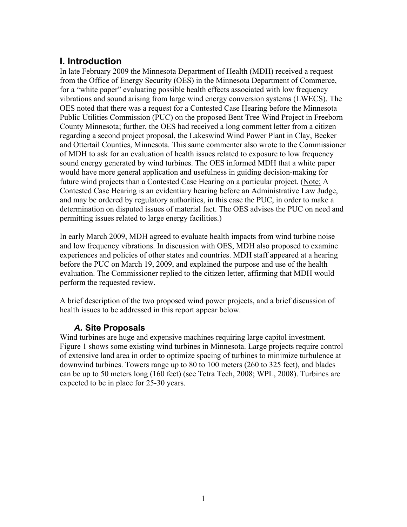# <span id="page-3-0"></span>**I. Introduction**

In late February 2009 the Minnesota Department of Health (MDH) received a request from the Office of Energy Security (OES) in the Minnesota Department of Commerce, for a "white paper" evaluating possible health effects associated with low frequency vibrations and sound arising from large wind energy conversion systems (LWECS). The OES noted that there was a request for a Contested Case Hearing before the Minnesota Public Utilities Commission (PUC) on the proposed Bent Tree Wind Project in Freeborn County Minnesota; further, the OES had received a long comment letter from a citizen regarding a second project proposal, the Lakeswind Wind Power Plant in Clay, Becker and Ottertail Counties, Minnesota. This same commenter also wrote to the Commissioner of MDH to ask for an evaluation of health issues related to exposure to low frequency sound energy generated by wind turbines. The OES informed MDH that a white paper would have more general application and usefulness in guiding decision-making for future wind projects than a Contested Case Hearing on a particular project. (Note: A Contested Case Hearing is an evidentiary hearing before an Administrative Law Judge, and may be ordered by regulatory authorities, in this case the PUC, in order to make a determination on disputed issues of material fact. The OES advises the PUC on need and permitting issues related to large energy facilities.)

In early March 2009, MDH agreed to evaluate health impacts from wind turbine noise and low frequency vibrations. In discussion with OES, MDH also proposed to examine experiences and policies of other states and countries. MDH staff appeared at a hearing before the PUC on March 19, 2009, and explained the purpose and use of the health evaluation. The Commissioner replied to the citizen letter, affirming that MDH would perform the requested review.

A brief description of the two proposed wind power projects, and a brief discussion of health issues to be addressed in this report appear below.

# *A.* **Site Proposals**

Wind turbines are huge and expensive machines requiring large capitol investment. Figure 1 shows some existing wind turbines in Minnesota. Large projects require control of extensive land area in order to optimize spacing of turbines to minimize turbulence at downwind turbines. Towers range up to 80 to 100 meters (260 to 325 feet), and blades can be up to 50 meters long (160 feet) (see Tetra Tech, 2008; WPL, 2008). Turbines are expected to be in place for 25-30 years.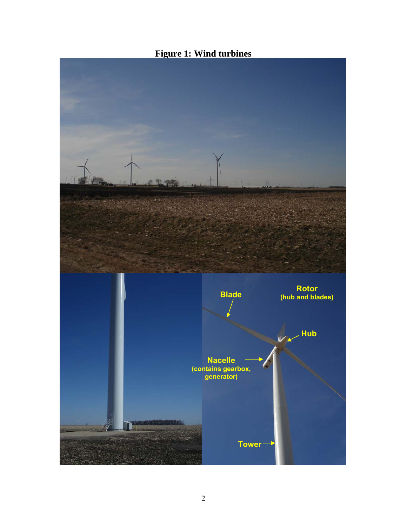<span id="page-4-0"></span>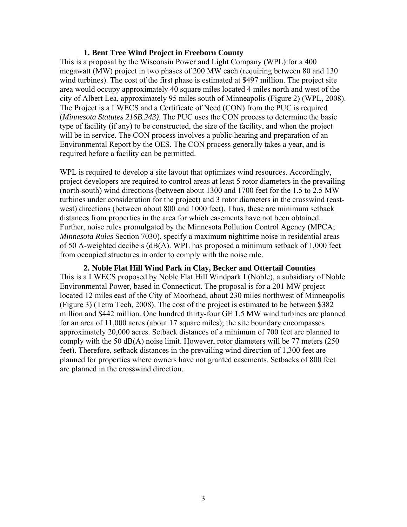#### **1. Bent Tree Wind Project in Freeborn County**

<span id="page-5-0"></span>This is a proposal by the Wisconsin Power and Light Company (WPL) for a 400 megawatt (MW) project in two phases of 200 MW each (requiring between 80 and 130 wind turbines). The cost of the first phase is estimated at \$497 million. The project site area would occupy approximately 40 square miles located 4 miles north and west of the city of Albert Lea, approximately 95 miles south of Minneapolis (Figure 2) (WPL, 2008). The Project is a LWECS and a Certificate of Need (CON) from the PUC is required (*Minnesota Statutes 216B.243)*. The PUC uses the CON process to determine the basic type of facility (if any) to be constructed, the size of the facility, and when the project will be in service. The CON process involves a public hearing and preparation of an Environmental Report by the OES. The CON process generally takes a year, and is required before a facility can be permitted.

WPL is required to develop a site layout that optimizes wind resources. Accordingly, project developers are required to control areas at least 5 rotor diameters in the prevailing (north-south) wind directions (between about 1300 and 1700 feet for the 1.5 to 2.5 MW turbines under consideration for the project) and 3 rotor diameters in the crosswind (eastwest) directions (between about 800 and 1000 feet). Thus, these are minimum setback distances from properties in the area for which easements have not been obtained. Further, noise rules promulgated by the Minnesota Pollution Control Agency (MPCA; *Minnesota Rules* Section 7030), specify a maximum nighttime noise in residential areas of 50 A-weighted decibels (dB(A). WPL has proposed a minimum setback of 1,000 feet from occupied structures in order to comply with the noise rule.

**2. Noble Flat Hill Wind Park in Clay, Becker and Ottertail Counties**  This is a LWECS proposed by Noble Flat Hill Windpark I (Noble), a subsidiary of Noble Environmental Power, based in Connecticut. The proposal is for a 201 MW project located 12 miles east of the City of Moorhead, about 230 miles northwest of Minneapolis (Figure 3) (Tetra Tech, 2008). The cost of the project is estimated to be between \$382 million and \$442 million. One hundred thirty-four GE 1.5 MW wind turbines are planned for an area of 11,000 acres (about 17 square miles); the site boundary encompasses approximately 20,000 acres. Setback distances of a minimum of 700 feet are planned to comply with the 50 dB(A) noise limit. However, rotor diameters will be 77 meters (250 feet). Therefore, setback distances in the prevailing wind direction of 1,300 feet are planned for properties where owners have not granted easements. Setbacks of 800 feet are planned in the crosswind direction.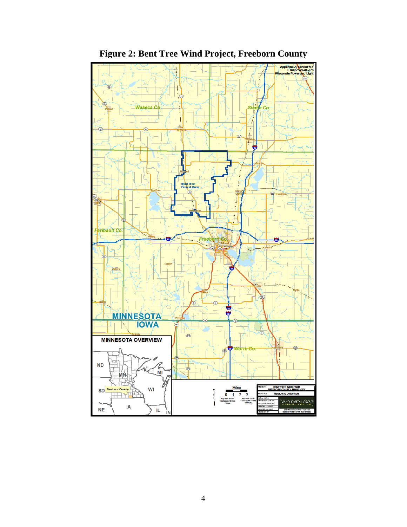<span id="page-6-0"></span>

**Figure 2: Bent Tree Wind Project, Freeborn County**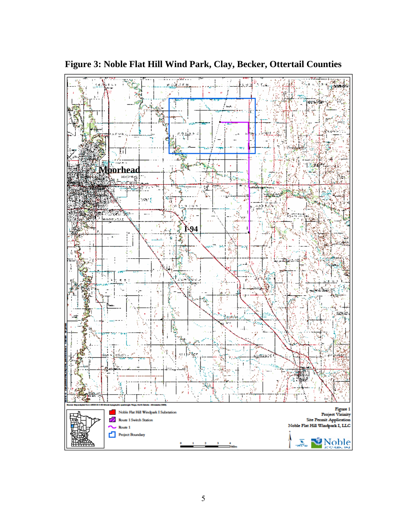

<span id="page-7-0"></span>**Figure 3: Noble Flat Hill Wind Park, Clay, Becker, Ottertail Counties**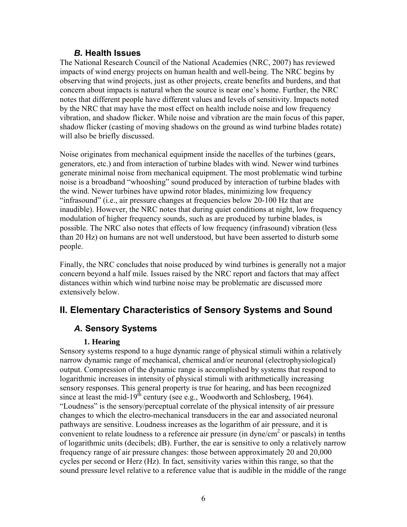#### *B.* **Health Issues**

<span id="page-8-0"></span>The National Research Council of the National Academies (NRC, 2007) has reviewed impacts of wind energy projects on human health and well-being. The NRC begins by observing that wind projects, just as other projects, create benefits and burdens, and that concern about impacts is natural when the source is near one's home. Further, the NRC notes that different people have different values and levels of sensitivity. Impacts noted by the NRC that may have the most effect on health include noise and low frequency vibration, and shadow flicker. While noise and vibration are the main focus of this paper, shadow flicker (casting of moving shadows on the ground as wind turbine blades rotate) will also be briefly discussed.

Noise originates from mechanical equipment inside the nacelles of the turbines (gears, generators, etc.) and from interaction of turbine blades with wind. Newer wind turbines generate minimal noise from mechanical equipment. The most problematic wind turbine noise is a broadband "whooshing" sound produced by interaction of turbine blades with the wind. Newer turbines have upwind rotor blades, minimizing low frequency "infrasound" (i.e., air pressure changes at frequencies below 20-100 Hz that are inaudible). However, the NRC notes that during quiet conditions at night, low frequency modulation of higher frequency sounds, such as are produced by turbine blades, is possible. The NRC also notes that effects of low frequency (infrasound) vibration (less than 20 Hz) on humans are not well understood, but have been asserted to disturb some people.

Finally, the NRC concludes that noise produced by wind turbines is generally not a major concern beyond a half mile. Issues raised by the NRC report and factors that may affect distances within which wind turbine noise may be problematic are discussed more extensively below.

# **II. Elementary Characteristics of Sensory Systems and Sound**

# *A.* **Sensory Systems**

#### **1. Hearing**

Sensory systems respond to a huge dynamic range of physical stimuli within a relatively narrow dynamic range of mechanical, chemical and/or neuronal (electrophysiological) output. Compression of the dynamic range is accomplished by systems that respond to logarithmic increases in intensity of physical stimuli with arithmetically increasing sensory responses. This general property is true for hearing, and has been recognized since at least the mid-19<sup>th</sup> century (see e.g., Woodworth and Schlosberg, 1964). "Loudness" is the sensory/perceptual correlate of the physical intensity of air pressure changes to which the electro-mechanical transducers in the ear and associated neuronal pathways are sensitive. Loudness increases as the logarithm of air pressure, and it is convenient to relate loudness to a reference air pressure (in dyne/ $\text{cm}^2$  or pascals) in tenths of logarithmic units (decibels; dB). Further, the ear is sensitive to only a relatively narrow frequency range of air pressure changes: those between approximately 20 and 20,000 cycles per second or Herz (Hz). In fact, sensitivity varies within this range, so that the sound pressure level relative to a reference value that is audible in the middle of the range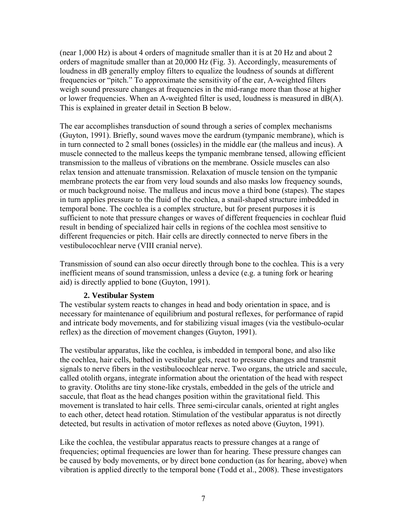<span id="page-9-0"></span>(near 1,000 Hz) is about 4 orders of magnitude smaller than it is at 20 Hz and about 2 orders of magnitude smaller than at 20,000 Hz (Fig. 3). Accordingly, measurements of loudness in dB generally employ filters to equalize the loudness of sounds at different frequencies or "pitch." To approximate the sensitivity of the ear, A-weighted filters weigh sound pressure changes at frequencies in the mid-range more than those at higher or lower frequencies. When an A-weighted filter is used, loudness is measured in dB(A). This is explained in greater detail in Section B below.

The ear accomplishes transduction of sound through a series of complex mechanisms (Guyton, 1991). Briefly, sound waves move the eardrum (tympanic membrane), which is in turn connected to 2 small bones (ossicles) in the middle ear (the malleus and incus). A muscle connected to the malleus keeps the tympanic membrane tensed, allowing efficient transmission to the malleus of vibrations on the membrane. Ossicle muscles can also relax tension and attenuate transmission. Relaxation of muscle tension on the tympanic membrane protects the ear from very loud sounds and also masks low frequency sounds, or much background noise. The malleus and incus move a third bone (stapes). The stapes in turn applies pressure to the fluid of the cochlea, a snail-shaped structure imbedded in temporal bone. The cochlea is a complex structure, but for present purposes it is sufficient to note that pressure changes or waves of different frequencies in cochlear fluid result in bending of specialized hair cells in regions of the cochlea most sensitive to different frequencies or pitch. Hair cells are directly connected to nerve fibers in the vestibulocochlear nerve (VIII cranial nerve).

Transmission of sound can also occur directly through bone to the cochlea. This is a very inefficient means of sound transmission, unless a device (e.g. a tuning fork or hearing aid) is directly applied to bone (Guyton, 1991).

#### **2. Vestibular System**

The vestibular system reacts to changes in head and body orientation in space, and is necessary for maintenance of equilibrium and postural reflexes, for performance of rapid and intricate body movements, and for stabilizing visual images (via the vestibulo-ocular reflex) as the direction of movement changes (Guyton, 1991).

The vestibular apparatus, like the cochlea, is imbedded in temporal bone, and also like the cochlea, hair cells, bathed in vestibular gels, react to pressure changes and transmit signals to nerve fibers in the vestibulocochlear nerve. Two organs, the utricle and saccule, called otolith organs, integrate information about the orientation of the head with respect to gravity. Otoliths are tiny stone-like crystals, embedded in the gels of the utricle and saccule, that float as the head changes position within the gravitational field. This movement is translated to hair cells. Three semi-circular canals, oriented at right angles to each other, detect head rotation. Stimulation of the vestibular apparatus is not directly detected, but results in activation of motor reflexes as noted above (Guyton, 1991).

Like the cochlea, the vestibular apparatus reacts to pressure changes at a range of frequencies; optimal frequencies are lower than for hearing. These pressure changes can be caused by body movements, or by direct bone conduction (as for hearing, above) when vibration is applied directly to the temporal bone (Todd et al., 2008). These investigators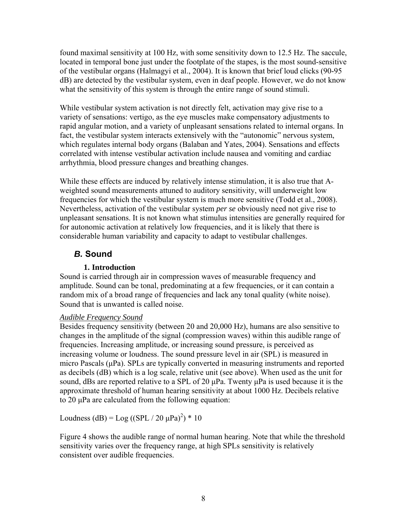<span id="page-10-0"></span>found maximal sensitivity at 100 Hz, with some sensitivity down to 12.5 Hz. The saccule, located in temporal bone just under the footplate of the stapes, is the most sound-sensitive of the vestibular organs (Halmagyi et al., 2004). It is known that brief loud clicks (90-95 dB) are detected by the vestibular system, even in deaf people. However, we do not know what the sensitivity of this system is through the entire range of sound stimuli.

While vestibular system activation is not directly felt, activation may give rise to a variety of sensations: vertigo, as the eye muscles make compensatory adjustments to rapid angular motion, and a variety of unpleasant sensations related to internal organs. In fact, the vestibular system interacts extensively with the "autonomic" nervous system, which regulates internal body organs (Balaban and Yates, 2004). Sensations and effects correlated with intense vestibular activation include nausea and vomiting and cardiac arrhythmia, blood pressure changes and breathing changes.

While these effects are induced by relatively intense stimulation, it is also true that Aweighted sound measurements attuned to auditory sensitivity, will underweight low frequencies for which the vestibular system is much more sensitive (Todd et al., 2008). Nevertheless, activation of the vestibular system *per se* obviously need not give rise to unpleasant sensations. It is not known what stimulus intensities are generally required for for autonomic activation at relatively low frequencies, and it is likely that there is considerable human variability and capacity to adapt to vestibular challenges.

# *B.* **Sound**

## **1. Introduction**

Sound is carried through air in compression waves of measurable frequency and amplitude. Sound can be tonal, predominating at a few frequencies, or it can contain a random mix of a broad range of frequencies and lack any tonal quality (white noise). Sound that is unwanted is called noise.

#### *Audible Frequency Sound*

Besides frequency sensitivity (between 20 and 20,000 Hz), humans are also sensitive to changes in the amplitude of the signal (compression waves) within this audible range of frequencies. Increasing amplitude, or increasing sound pressure, is perceived as increasing volume or loudness. The sound pressure level in air (SPL) is measured in micro Pascals (μPa). SPLs are typically converted in measuring instruments and reported as decibels (dB) which is a log scale, relative unit (see above). When used as the unit for sound, dBs are reported relative to a SPL of 20 μPa. Twenty μPa is used because it is the approximate threshold of human hearing sensitivity at about 1000 Hz. Decibels relative to 20 μPa are calculated from the following equation:

Loudness (dB) =  $\text{Log}((\text{SPL} / 20 \mu \text{Pa})^2) * 10$ 

Figure 4 shows the audible range of normal human hearing. Note that while the threshold sensitivity varies over the frequency range, at high SPLs sensitivity is relatively consistent over audible frequencies.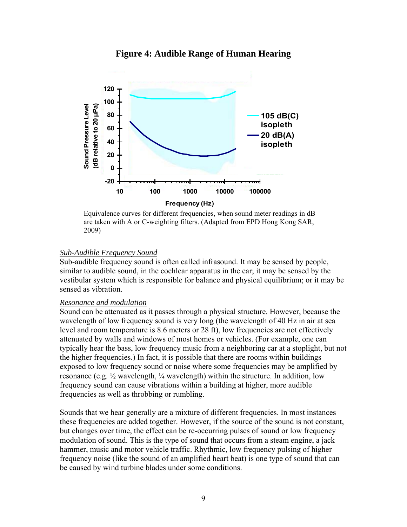#### **Figure 4: Audible Range of Human Hearing**

<span id="page-11-0"></span>

Equivalence curves for different frequencies, when sound meter readings in dB are taken with A or C-weighting filters. (Adapted from EPD Hong Kong SAR, 2009)

#### *Sub-Audible Frequency Sound*

Sub-audible frequency sound is often called infrasound. It may be sensed by people, similar to audible sound, in the cochlear apparatus in the ear; it may be sensed by the vestibular system which is responsible for balance and physical equilibrium; or it may be sensed as vibration.

#### *Resonance and modulation*

Sound can be attenuated as it passes through a physical structure. However, because the wavelength of low frequency sound is very long (the wavelength of 40 Hz in air at sea level and room temperature is 8.6 meters or 28 ft), low frequencies are not effectively attenuated by walls and windows of most homes or vehicles. (For example, one can typically hear the bass, low frequency music from a neighboring car at a stoplight, but not the higher frequencies.) In fact, it is possible that there are rooms within buildings exposed to low frequency sound or noise where some frequencies may be amplified by resonance (e.g. ½ wavelength, ¼ wavelength) within the structure. In addition, low frequency sound can cause vibrations within a building at higher, more audible frequencies as well as throbbing or rumbling.

Sounds that we hear generally are a mixture of different frequencies. In most instances these frequencies are added together. However, if the source of the sound is not constant, but changes over time, the effect can be re-occurring pulses of sound or low frequency modulation of sound. This is the type of sound that occurs from a steam engine, a jack hammer, music and motor vehicle traffic. Rhythmic, low frequency pulsing of higher frequency noise (like the sound of an amplified heart beat) is one type of sound that can be caused by wind turbine blades under some conditions.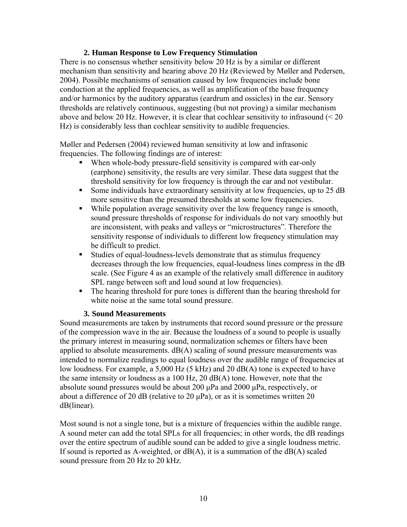#### **2. Human Response to Low Frequency Stimulation**

<span id="page-12-0"></span>There is no consensus whether sensitivity below 20 Hz is by a similar or different mechanism than sensitivity and hearing above 20 Hz (Reviewed by Møller and Pedersen, 2004). Possible mechanisms of sensation caused by low frequencies include bone conduction at the applied frequencies, as well as amplification of the base frequency and/or harmonics by the auditory apparatus (eardrum and ossicles) in the ear. Sensory thresholds are relatively continuous, suggesting (but not proving) a similar mechanism above and below 20 Hz. However, it is clear that cochlear sensitivity to infrasound  $\leq 20$ Hz) is considerably less than cochlear sensitivity to audible frequencies.

Møller and Pedersen (2004) reviewed human sensitivity at low and infrasonic frequencies. The following findings are of interest:

- When whole-body pressure-field sensitivity is compared with ear-only (earphone) sensitivity, the results are very similar. These data suggest that the threshold sensitivity for low frequency is through the ear and not vestibular.
- Some individuals have extraordinary sensitivity at low frequencies, up to 25 dB more sensitive than the presumed thresholds at some low frequencies.
- While population average sensitivity over the low frequency range is smooth, sound pressure thresholds of response for individuals do not vary smoothly but are inconsistent, with peaks and valleys or "microstructures". Therefore the sensitivity response of individuals to different low frequency stimulation may be difficult to predict.
- Studies of equal-loudness-levels demonstrate that as stimulus frequency decreases through the low frequencies, equal-loudness lines compress in the dB scale. (See Figure 4 as an example of the relatively small difference in auditory SPL range between soft and loud sound at low frequencies).
- The hearing threshold for pure tones is different than the hearing threshold for white noise at the same total sound pressure.

#### **3. Sound Measurements**

Sound measurements are taken by instruments that record sound pressure or the pressure of the compression wave in the air. Because the loudness of a sound to people is usually the primary interest in measuring sound, normalization schemes or filters have been applied to absolute measurements.  $dB(A)$  scaling of sound pressure measurements was intended to normalize readings to equal loudness over the audible range of frequencies at low loudness. For example, a 5,000 Hz (5 kHz) and 20 dB(A) tone is expected to have the same intensity or loudness as a 100 Hz, 20 dB(A) tone. However, note that the absolute sound pressures would be about 200 μPa and 2000 μPa, respectively, or about a difference of 20 dB (relative to 20  $\mu$ Pa), or as it is sometimes written 20 dB(linear).

Most sound is not a single tone, but is a mixture of frequencies within the audible range. A sound meter can add the total SPLs for all frequencies; in other words, the dB readings over the entire spectrum of audible sound can be added to give a single loudness metric. If sound is reported as A-weighted, or  $dB(A)$ , it is a summation of the  $dB(A)$  scaled sound pressure from 20 Hz to 20 kHz.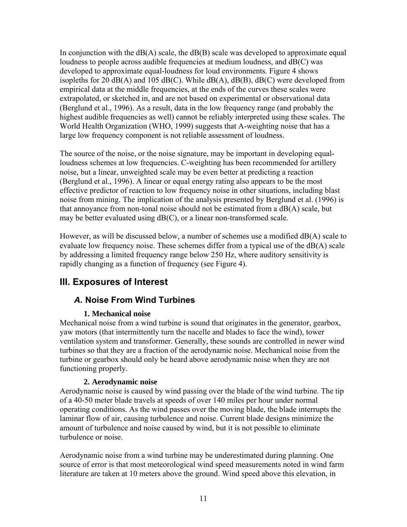<span id="page-13-0"></span>In conjunction with the  $dB(A)$  scale, the  $dB(B)$  scale was developed to approximate equal loudness to people across audible frequencies at medium loudness, and dB(C) was developed to approximate equal-loudness for loud environments. Figure 4 shows isopleths for 20  $dB(A)$  and 105  $dB(C)$ . While  $dB(A)$ ,  $dB(B)$ ,  $dB(C)$  were developed from empirical data at the middle frequencies, at the ends of the curves these scales were extrapolated, or sketched in, and are not based on experimental or observational data (Berglund et al., 1996). As a result, data in the low frequency range (and probably the highest audible frequencies as well) cannot be reliably interpreted using these scales. The World Health Organization (WHO, 1999) suggests that A-weighting noise that has a large low frequency component is not reliable assessment of loudness.

The source of the noise, or the noise signature, may be important in developing equalloudness schemes at low frequencies. C-weighting has been recommended for artillery noise, but a linear, unweighted scale may be even better at predicting a reaction (Berglund et al., 1996). A linear or equal energy rating also appears to be the most effective predictor of reaction to low frequency noise in other situations, including blast noise from mining. The implication of the analysis presented by Berglund et al. (1996) is that annoyance from non-tonal noise should not be estimated from a dB(A) scale, but may be better evaluated using dB(C), or a linear non-transformed scale.

However, as will be discussed below, a number of schemes use a modified dB(A) scale to evaluate low frequency noise. These schemes differ from a typical use of the dB(A) scale by addressing a limited frequency range below 250 Hz, where auditory sensitivity is rapidly changing as a function of frequency (see Figure 4).

# **III. Exposures of Interest**

# *A.* **Noise From Wind Turbines**

#### **1. Mechanical noise**

Mechanical noise from a wind turbine is sound that originates in the generator, gearbox, yaw motors (that intermittently turn the nacelle and blades to face the wind), tower ventilation system and transformer. Generally, these sounds are controlled in newer wind turbines so that they are a fraction of the aerodynamic noise. Mechanical noise from the turbine or gearbox should only be heard above aerodynamic noise when they are not functioning properly.

#### **2. Aerodynamic noise**

Aerodynamic noise is caused by wind passing over the blade of the wind turbine. The tip of a 40-50 meter blade travels at speeds of over 140 miles per hour under normal operating conditions. As the wind passes over the moving blade, the blade interrupts the laminar flow of air, causing turbulence and noise. Current blade designs minimize the amount of turbulence and noise caused by wind, but it is not possible to eliminate turbulence or noise.

Aerodynamic noise from a wind turbine may be underestimated during planning. One source of error is that most meteorological wind speed measurements noted in wind farm literature are taken at 10 meters above the ground. Wind speed above this elevation, in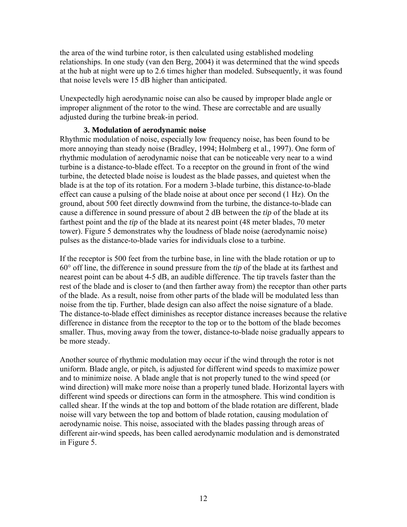<span id="page-14-0"></span>the area of the wind turbine rotor, is then calculated using established modeling relationships. In one study (van den Berg, 2004) it was determined that the wind speeds at the hub at night were up to 2.6 times higher than modeled. Subsequently, it was found that noise levels were 15 dB higher than anticipated.

Unexpectedly high aerodynamic noise can also be caused by improper blade angle or improper alignment of the rotor to the wind. These are correctable and are usually adjusted during the turbine break-in period.

#### **3. Modulation of aerodynamic noise**

Rhythmic modulation of noise, especially low frequency noise, has been found to be more annoying than steady noise (Bradley, 1994; Holmberg et al., 1997). One form of rhythmic modulation of aerodynamic noise that can be noticeable very near to a wind turbine is a distance-to-blade effect. To a receptor on the ground in front of the wind turbine, the detected blade noise is loudest as the blade passes, and quietest when the blade is at the top of its rotation. For a modern 3-blade turbine, this distance-to-blade effect can cause a pulsing of the blade noise at about once per second (1 Hz). On the ground, about 500 feet directly downwind from the turbine, the distance-to-blade can cause a difference in sound pressure of about 2 dB between the *tip* of the blade at its farthest point and the *tip* of the blade at its nearest point (48 meter blades, 70 meter tower). Figure 5 demonstrates why the loudness of blade noise (aerodynamic noise) pulses as the distance-to-blade varies for individuals close to a turbine.

If the receptor is 500 feet from the turbine base, in line with the blade rotation or up to 60° off line, the difference in sound pressure from the *tip* of the blade at its farthest and nearest point can be about 4-5 dB, an audible difference. The tip travels faster than the rest of the blade and is closer to (and then farther away from) the receptor than other parts of the blade. As a result, noise from other parts of the blade will be modulated less than noise from the tip. Further, blade design can also affect the noise signature of a blade. The distance-to-blade effect diminishes as receptor distance increases because the relative difference in distance from the receptor to the top or to the bottom of the blade becomes smaller. Thus, moving away from the tower, distance-to-blade noise gradually appears to be more steady.

Another source of rhythmic modulation may occur if the wind through the rotor is not uniform. Blade angle, or pitch, is adjusted for different wind speeds to maximize power and to minimize noise. A blade angle that is not properly tuned to the wind speed (or wind direction) will make more noise than a properly tuned blade. Horizontal layers with different wind speeds or directions can form in the atmosphere. This wind condition is called shear. If the winds at the top and bottom of the blade rotation are different, blade noise will vary between the top and bottom of blade rotation, causing modulation of aerodynamic noise. This noise, associated with the blades passing through areas of different air-wind speeds, has been called aerodynamic modulation and is demonstrated in Figure 5.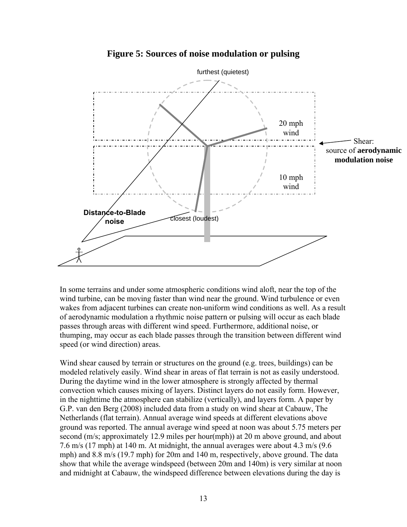<span id="page-15-0"></span>

#### **Figure 5: Sources of noise modulation or pulsing**

In some terrains and under some atmospheric conditions wind aloft, near the top of the wind turbine, can be moving faster than wind near the ground. Wind turbulence or even wakes from adjacent turbines can create non-uniform wind conditions as well. As a result of aerodynamic modulation a rhythmic noise pattern or pulsing will occur as each blade passes through areas with different wind speed. Furthermore, additional noise, or thumping, may occur as each blade passes through the transition between different wind speed (or wind direction) areas.

Wind shear caused by terrain or structures on the ground (e.g. trees, buildings) can be modeled relatively easily. Wind shear in areas of flat terrain is not as easily understood. During the daytime wind in the lower atmosphere is strongly affected by thermal convection which causes mixing of layers. Distinct layers do not easily form. However, in the nighttime the atmosphere can stabilize (vertically), and layers form. A paper by G.P. van den Berg (2008) included data from a study on wind shear at Cabauw, The Netherlands (flat terrain). Annual average wind speeds at different elevations above ground was reported. The annual average wind speed at noon was about 5.75 meters per second (m/s; approximately 12.9 miles per hour(mph)) at 20 m above ground, and about 7.6 m/s (17 mph) at 140 m. At midnight, the annual averages were about 4.3 m/s (9.6 mph) and 8.8 m/s (19.7 mph) for 20m and 140 m, respectively, above ground. The data show that while the average windspeed (between 20m and 140m) is very similar at noon and midnight at Cabauw, the windspeed difference between elevations during the day is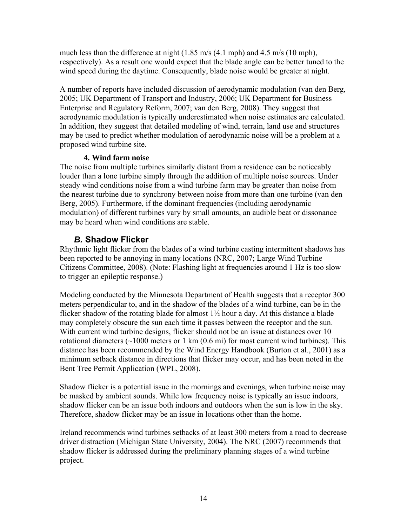<span id="page-16-0"></span>much less than the difference at night  $(1.85 \text{ m/s } (4.1 \text{ mph})$  and  $4.5 \text{ m/s } (10 \text{ mph})$ , respectively). As a result one would expect that the blade angle can be better tuned to the wind speed during the daytime. Consequently, blade noise would be greater at night.

A number of reports have included discussion of aerodynamic modulation (van den Berg, 2005; UK Department of Transport and Industry, 2006; UK Department for Business Enterprise and Regulatory Reform, 2007; van den Berg, 2008). They suggest that aerodynamic modulation is typically underestimated when noise estimates are calculated. In addition, they suggest that detailed modeling of wind, terrain, land use and structures may be used to predict whether modulation of aerodynamic noise will be a problem at a proposed wind turbine site.

#### **4. Wind farm noise**

The noise from multiple turbines similarly distant from a residence can be noticeably louder than a lone turbine simply through the addition of multiple noise sources. Under steady wind conditions noise from a wind turbine farm may be greater than noise from the nearest turbine due to synchrony between noise from more than one turbine (van den Berg, 2005). Furthermore, if the dominant frequencies (including aerodynamic modulation) of different turbines vary by small amounts, an audible beat or dissonance may be heard when wind conditions are stable.

### *B.* **Shadow Flicker**

Rhythmic light flicker from the blades of a wind turbine casting intermittent shadows has been reported to be annoying in many locations (NRC, 2007; Large Wind Turbine Citizens Committee, 2008). (Note: Flashing light at frequencies around 1 Hz is too slow to trigger an epileptic response.)

Modeling conducted by the Minnesota Department of Health suggests that a receptor 300 meters perpendicular to, and in the shadow of the blades of a wind turbine, can be in the flicker shadow of the rotating blade for almost  $1\frac{1}{2}$  hour a day. At this distance a blade may completely obscure the sun each time it passes between the receptor and the sun. With current wind turbine designs, flicker should not be an issue at distances over 10 rotational diameters  $(\sim 1000$  meters or 1 km  $(0.6 \text{ mi})$  for most current wind turbines). This distance has been recommended by the Wind Energy Handbook (Burton et al., 2001) as a minimum setback distance in directions that flicker may occur, and has been noted in the Bent Tree Permit Application (WPL, 2008).

Shadow flicker is a potential issue in the mornings and evenings, when turbine noise may be masked by ambient sounds. While low frequency noise is typically an issue indoors, shadow flicker can be an issue both indoors and outdoors when the sun is low in the sky. Therefore, shadow flicker may be an issue in locations other than the home.

Ireland recommends wind turbines setbacks of at least 300 meters from a road to decrease driver distraction (Michigan State University, 2004). The NRC (2007) recommends that shadow flicker is addressed during the preliminary planning stages of a wind turbine project.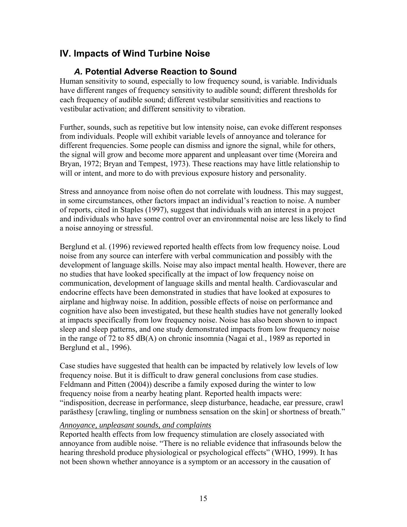# <span id="page-17-0"></span>**IV. Impacts of Wind Turbine Noise**

# *A.* **Potential Adverse Reaction to Sound**

Human sensitivity to sound, especially to low frequency sound, is variable. Individuals have different ranges of frequency sensitivity to audible sound; different thresholds for each frequency of audible sound; different vestibular sensitivities and reactions to vestibular activation; and different sensitivity to vibration.

Further, sounds, such as repetitive but low intensity noise, can evoke different responses from individuals. People will exhibit variable levels of annoyance and tolerance for different frequencies. Some people can dismiss and ignore the signal, while for others, the signal will grow and become more apparent and unpleasant over time (Moreira and Bryan, 1972; Bryan and Tempest, 1973). These reactions may have little relationship to will or intent, and more to do with previous exposure history and personality.

Stress and annoyance from noise often do not correlate with loudness. This may suggest, in some circumstances, other factors impact an individual's reaction to noise. A number of reports, cited in Staples (1997), suggest that individuals with an interest in a project and individuals who have some control over an environmental noise are less likely to find a noise annoying or stressful.

Berglund et al. (1996) reviewed reported health effects from low frequency noise. Loud noise from any source can interfere with verbal communication and possibly with the development of language skills. Noise may also impact mental health. However, there are no studies that have looked specifically at the impact of low frequency noise on communication, development of language skills and mental health. Cardiovascular and endocrine effects have been demonstrated in studies that have looked at exposures to airplane and highway noise. In addition, possible effects of noise on performance and cognition have also been investigated, but these health studies have not generally looked at impacts specifically from low frequency noise. Noise has also been shown to impact sleep and sleep patterns, and one study demonstrated impacts from low frequency noise in the range of 72 to 85 dB(A) on chronic insomnia (Nagai et al., 1989 as reported in Berglund et al., 1996).

Case studies have suggested that health can be impacted by relatively low levels of low frequency noise. But it is difficult to draw general conclusions from case studies. Feldmann and Pitten (2004)) describe a family exposed during the winter to low frequency noise from a nearby heating plant. Reported health impacts were: "indisposition, decrease in performance, sleep disturbance, headache, ear pressure, crawl parästhesy [crawling, tingling or numbness sensation on the skin] or shortness of breath."

#### *Annoyance, unpleasant sounds, and complaints*

Reported health effects from low frequency stimulation are closely associated with annoyance from audible noise. "There is no reliable evidence that infrasounds below the hearing threshold produce physiological or psychological effects" (WHO, 1999). It has not been shown whether annoyance is a symptom or an accessory in the causation of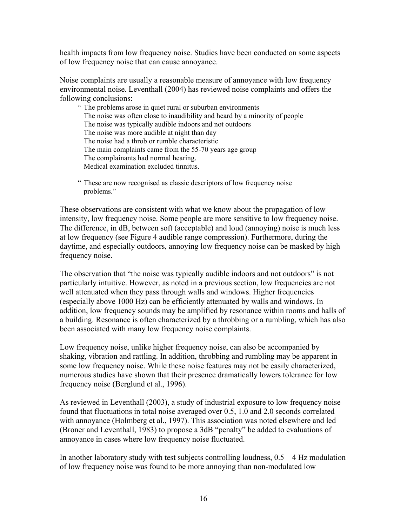health impacts from low frequency noise. Studies have been conducted on some aspects of low frequency noise that can cause annoyance.

Noise complaints are usually a reasonable measure of annoyance with low frequency environmental noise. Leventhall (2004) has reviewed noise complaints and offers the following conclusions:

" The problems arose in quiet rural or suburban environments The noise was often close to inaudibility and heard by a minority of people The noise was typically audible indoors and not outdoors The noise was more audible at night than day The noise had a throb or rumble characteristic The main complaints came from the 55-70 years age group The complainants had normal hearing. Medical examination excluded tinnitus.

These are now recognised as classic descriptors of low frequency noise problems."

These observations are consistent with what we know about the propagation of low intensity, low frequency noise. Some people are more sensitive to low frequency noise. The difference, in dB, between soft (acceptable) and loud (annoying) noise is much less at low frequency (see Figure 4 audible range compression). Furthermore, during the daytime, and especially outdoors, annoying low frequency noise can be masked by high frequency noise.

The observation that "the noise was typically audible indoors and not outdoors" is not particularly intuitive. However, as noted in a previous section, low frequencies are not well attenuated when they pass through walls and windows. Higher frequencies (especially above 1000 Hz) can be efficiently attenuated by walls and windows. In addition, low frequency sounds may be amplified by resonance within rooms and halls of a building. Resonance is often characterized by a throbbing or a rumbling, which has also been associated with many low frequency noise complaints.

Low frequency noise, unlike higher frequency noise, can also be accompanied by shaking, vibration and rattling. In addition, throbbing and rumbling may be apparent in some low frequency noise. While these noise features may not be easily characterized, numerous studies have shown that their presence dramatically lowers tolerance for low frequency noise (Berglund et al., 1996).

As reviewed in Leventhall (2003), a study of industrial exposure to low frequency noise found that fluctuations in total noise averaged over 0.5, 1.0 and 2.0 seconds correlated with annoyance (Holmberg et al., 1997). This association was noted elsewhere and led (Broner and Leventhall, 1983) to propose a 3dB "penalty" be added to evaluations of annoyance in cases where low frequency noise fluctuated.

In another laboratory study with test subjects controlling loudness,  $0.5 - 4$  Hz modulation of low frequency noise was found to be more annoying than non-modulated low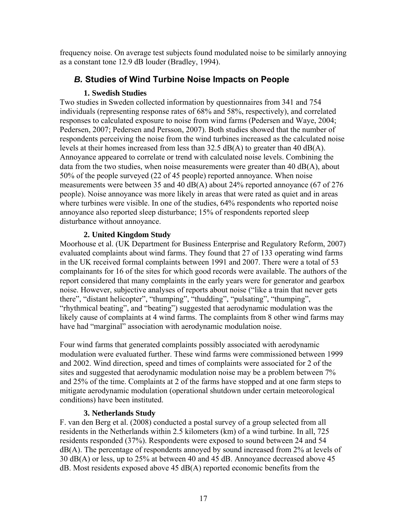<span id="page-19-0"></span>frequency noise. On average test subjects found modulated noise to be similarly annoying as a constant tone 12.9 dB louder (Bradley, 1994).

# *B.* **Studies of Wind Turbine Noise Impacts on People**

#### **1. Swedish Studies**

Two studies in Sweden collected information by questionnaires from 341 and 754 individuals (representing response rates of 68% and 58%, respectively), and correlated responses to calculated exposure to noise from wind farms (Pedersen and Waye, 2004; Pedersen, 2007; Pedersen and Persson, 2007). Both studies showed that the number of respondents perceiving the noise from the wind turbines increased as the calculated noise levels at their homes increased from less than  $32.5 \text{ dB}(A)$  to greater than 40 dB(A). Annoyance appeared to correlate or trend with calculated noise levels. Combining the data from the two studies, when noise measurements were greater than 40  $dB(A)$ , about 50% of the people surveyed (22 of 45 people) reported annoyance. When noise measurements were between 35 and 40 dB(A) about 24% reported annoyance (67 of 276 people). Noise annoyance was more likely in areas that were rated as quiet and in areas where turbines were visible. In one of the studies, 64% respondents who reported noise annoyance also reported sleep disturbance; 15% of respondents reported sleep disturbance without annoyance.

#### **2. United Kingdom Study**

Moorhouse et al. (UK Department for Business Enterprise and Regulatory Reform, 2007) evaluated complaints about wind farms. They found that 27 of 133 operating wind farms in the UK received formal complaints between 1991 and 2007. There were a total of 53 complainants for 16 of the sites for which good records were available. The authors of the report considered that many complaints in the early years were for generator and gearbox noise. However, subjective analyses of reports about noise ("like a train that never gets there", "distant helicopter", "thumping", "thudding", "pulsating", "thumping", "rhythmical beating", and "beating") suggested that aerodynamic modulation was the likely cause of complaints at 4 wind farms. The complaints from 8 other wind farms may have had "marginal" association with aerodynamic modulation noise.

Four wind farms that generated complaints possibly associated with aerodynamic modulation were evaluated further. These wind farms were commissioned between 1999 and 2002. Wind direction, speed and times of complaints were associated for 2 of the sites and suggested that aerodynamic modulation noise may be a problem between 7% and 25% of the time. Complaints at 2 of the farms have stopped and at one farm steps to mitigate aerodynamic modulation (operational shutdown under certain meteorological conditions) have been instituted.

#### **3. Netherlands Study**

F. van den Berg et al. (2008) conducted a postal survey of a group selected from all residents in the Netherlands within 2.5 kilometers (km) of a wind turbine. In all, 725 residents responded (37%). Respondents were exposed to sound between 24 and 54 dB(A). The percentage of respondents annoyed by sound increased from 2% at levels of 30 dB(A) or less, up to 25% at between 40 and 45 dB. Annoyance decreased above 45 dB. Most residents exposed above 45 dB(A) reported economic benefits from the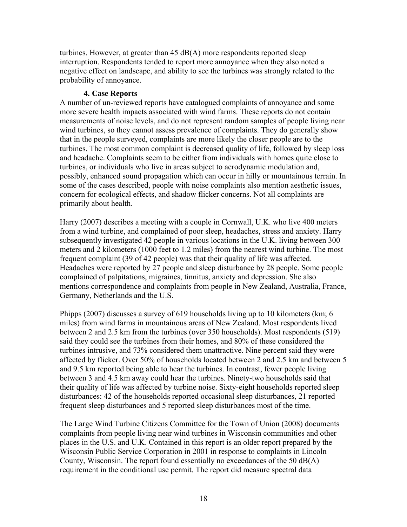<span id="page-20-0"></span>turbines. However, at greater than  $45 \text{ dB}(A)$  more respondents reported sleep interruption. Respondents tended to report more annoyance when they also noted a negative effect on landscape, and ability to see the turbines was strongly related to the probability of annoyance.

#### **4. Case Reports**

A number of un-reviewed reports have catalogued complaints of annoyance and some more severe health impacts associated with wind farms. These reports do not contain measurements of noise levels, and do not represent random samples of people living near wind turbines, so they cannot assess prevalence of complaints. They do generally show that in the people surveyed, complaints are more likely the closer people are to the turbines. The most common complaint is decreased quality of life, followed by sleep loss and headache. Complaints seem to be either from individuals with homes quite close to turbines, or individuals who live in areas subject to aerodynamic modulation and, possibly, enhanced sound propagation which can occur in hilly or mountainous terrain. In some of the cases described, people with noise complaints also mention aesthetic issues, concern for ecological effects, and shadow flicker concerns. Not all complaints are primarily about health.

Harry (2007) describes a meeting with a couple in Cornwall, U.K. who live 400 meters from a wind turbine, and complained of poor sleep, headaches, stress and anxiety. Harry subsequently investigated 42 people in various locations in the U.K. living between 300 meters and 2 kilometers (1000 feet to 1.2 miles) from the nearest wind turbine. The most frequent complaint (39 of 42 people) was that their quality of life was affected. Headaches were reported by 27 people and sleep disturbance by 28 people. Some people complained of palpitations, migraines, tinnitus, anxiety and depression. She also mentions correspondence and complaints from people in New Zealand, Australia, France, Germany, Netherlands and the U.S.

Phipps (2007) discusses a survey of 619 households living up to 10 kilometers (km; 6 miles) from wind farms in mountainous areas of New Zealand. Most respondents lived between 2 and 2.5 km from the turbines (over 350 households). Most respondents (519) said they could see the turbines from their homes, and 80% of these considered the turbines intrusive, and 73% considered them unattractive. Nine percent said they were affected by flicker. Over 50% of households located between 2 and 2.5 km and between 5 and 9.5 km reported being able to hear the turbines. In contrast, fewer people living between 3 and 4.5 km away could hear the turbines. Ninety-two households said that their quality of life was affected by turbine noise. Sixty-eight households reported sleep disturbances: 42 of the households reported occasional sleep disturbances, 21 reported frequent sleep disturbances and 5 reported sleep disturbances most of the time.

The Large Wind Turbine Citizens Committee for the Town of Union (2008) documents complaints from people living near wind turbines in Wisconsin communities and other places in the U.S. and U.K. Contained in this report is an older report prepared by the Wisconsin Public Service Corporation in 2001 in response to complaints in Lincoln County, Wisconsin. The report found essentially no exceedances of the 50 dB(A) requirement in the conditional use permit. The report did measure spectral data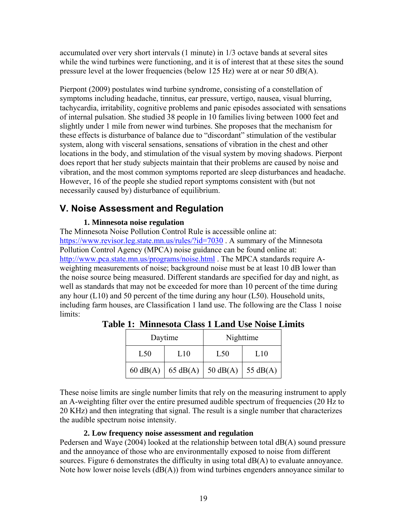<span id="page-21-0"></span>accumulated over very short intervals (1 minute) in 1/3 octave bands at several sites while the wind turbines were functioning, and it is of interest that at these sites the sound pressure level at the lower frequencies (below 125 Hz) were at or near 50 dB(A).

Pierpont (2009) postulates wind turbine syndrome, consisting of a constellation of symptoms including headache, tinnitus, ear pressure, vertigo, nausea, visual blurring, tachycardia, irritability, cognitive problems and panic episodes associated with sensations of internal pulsation. She studied 38 people in 10 families living between 1000 feet and slightly under 1 mile from newer wind turbines. She proposes that the mechanism for these effects is disturbance of balance due to "discordant" stimulation of the vestibular system, along with visceral sensations, sensations of vibration in the chest and other locations in the body, and stimulation of the visual system by moving shadows. Pierpont does report that her study subjects maintain that their problems are caused by noise and vibration, and the most common symptoms reported are sleep disturbances and headache. However, 16 of the people she studied report symptoms consistent with (but not necessarily caused by) disturbance of equilibrium.

# **V. Noise Assessment and Regulation**

#### **1. Minnesota noise regulation**

The Minnesota Noise Pollution Control Rule is accessible online at: <https://www.revisor.leg.state.mn.us/rules/?id=7030>. A summary of the Minnesota Pollution Control Agency (MPCA) noise guidance can be found online at: <http://www.pca.state.mn.us/programs/noise.html>. The MPCA standards require Aweighting measurements of noise; background noise must be at least 10 dB lower than the noise source being measured. Different standards are specified for day and night, as well as standards that may not be exceeded for more than 10 percent of the time during any hour  $(L10)$  and 50 percent of the time during any hour  $(L50)$ . Household units, including farm houses, are Classification 1 land use. The following are the Class 1 noise limits:

| Daytime            |                  | Nighttime           |     |
|--------------------|------------------|---------------------|-----|
| L50                | L10              | L <sub>50</sub>     | L10 |
| $60 \text{ dB}(A)$ | 65 dB(A) $\vert$ | 50 dB(A)   55 dB(A) |     |

**Table 1: Minnesota Class 1 Land Use Noise Limits** 

These noise limits are single number limits that rely on the measuring instrument to apply an A-weighting filter over the entire presumed audible spectrum of frequencies (20 Hz to 20 KHz) and then integrating that signal. The result is a single number that characterizes the audible spectrum noise intensity.

#### **2. Low frequency noise assessment and regulation**

Pedersen and Waye (2004) looked at the relationship between total dB(A) sound pressure and the annoyance of those who are environmentally exposed to noise from different sources. Figure 6 demonstrates the difficulty in using total  $dB(A)$  to evaluate annoyance. Note how lower noise levels  $(dB(A))$  from wind turbines engenders annoyance similar to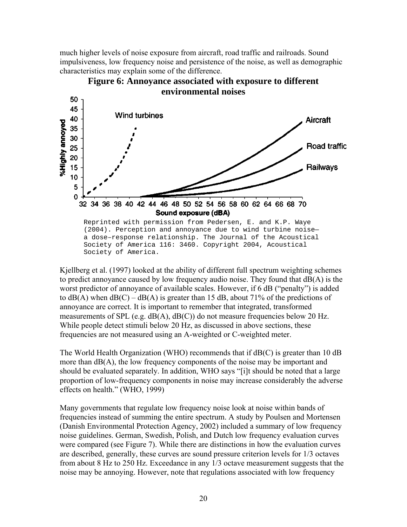<span id="page-22-0"></span>much higher levels of noise exposure from aircraft, road traffic and railroads. Sound impulsiveness, low frequency noise and persistence of the noise, as well as demographic characteristics may explain some of the difference.



**Figure 6: Annoyance associated with exposure to different environmental noises** 

Kjellberg et al. (1997) looked at the ability of different full spectrum weighting schemes to predict annoyance caused by low frequency audio noise. They found that dB(A) is the worst predictor of annoyance of available scales. However, if 6 dB ("penalty") is added to  $dB(A)$  when  $dB(C) - dB(A)$  is greater than 15 dB, about 71% of the predictions of annoyance are correct. It is important to remember that integrated, transformed measurements of SPL (e.g. dB(A), dB(C)) do not measure frequencies below 20 Hz. While people detect stimuli below 20 Hz, as discussed in above sections, these frequencies are not measured using an A-weighted or C-weighted meter.

The World Health Organization (WHO) recommends that if  $dB(C)$  is greater than 10 dB more than dB(A), the low frequency components of the noise may be important and should be evaluated separately. In addition, WHO says "[i]t should be noted that a large proportion of low-frequency components in noise may increase considerably the adverse effects on health." (WHO, 1999)

Many governments that regulate low frequency noise look at noise within bands of frequencies instead of summing the entire spectrum. A study by Poulsen and Mortensen (Danish Environmental Protection Agency, 2002) included a summary of low frequency noise guidelines. German, Swedish, Polish, and Dutch low frequency evaluation curves were compared (see Figure 7). While there are distinctions in how the evaluation curves are described, generally, these curves are sound pressure criterion levels for 1/3 octaves from about 8 Hz to 250 Hz. Exceedance in any 1/3 octave measurement suggests that the noise may be annoying. However, note that regulations associated with low frequency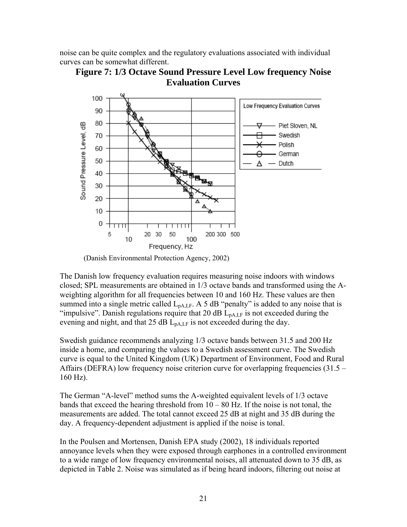<span id="page-23-0"></span>noise can be quite complex and the regulatory evaluations associated with individual curves can be somewhat different.





(Danish Environmental Protection Agency, 2002)

The Danish low frequency evaluation requires measuring noise indoors with windows closed; SPL measurements are obtained in 1/3 octave bands and transformed using the Aweighting algorithm for all frequencies between 10 and 160 Hz. These values are then summed into a single metric called  $L_{pA,LF}$ . A 5 dB "penalty" is added to any noise that is "impulsive". Danish regulations require that 20 dB  $L_{\text{pA,LF}}$  is not exceeded during the evening and night, and that 25 dB  $L_{pA,LF}$  is not exceeded during the day.

Swedish guidance recommends analyzing 1/3 octave bands between 31.5 and 200 Hz inside a home, and comparing the values to a Swedish assessment curve. The Swedish curve is equal to the United Kingdom (UK) Department of Environment, Food and Rural Affairs (DEFRA) low frequency noise criterion curve for overlapping frequencies (31.5 – 160 Hz).

The German "A-level" method sums the A-weighted equivalent levels of 1/3 octave bands that exceed the hearing threshold from  $10 - 80$  Hz. If the noise is not tonal, the measurements are added. The total cannot exceed 25 dB at night and 35 dB during the day. A frequency-dependent adjustment is applied if the noise is tonal.

In the Poulsen and Mortensen, Danish EPA study (2002), 18 individuals reported annoyance levels when they were exposed through earphones in a controlled environment to a wide range of low frequency environmental noises, all attenuated down to 35 dB, as depicted in Table 2. Noise was simulated as if being heard indoors, filtering out noise at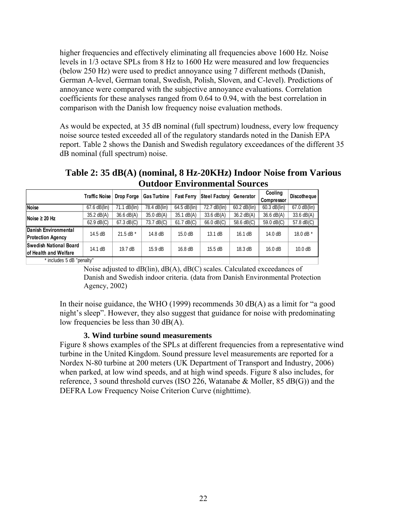<span id="page-24-0"></span>higher frequencies and effectively eliminating all frequencies above 1600 Hz. Noise levels in 1/3 octave SPLs from 8 Hz to 1600 Hz were measured and low frequencies (below 250 Hz) were used to predict annoyance using 7 different methods (Danish, German A-level, German tonal, Swedish, Polish, Sloven, and C-level). Predictions of annoyance were compared with the subjective annoyance evaluations. Correlation coefficients for these analyses ranged from 0.64 to 0.94, with the best correlation in comparison with the Danish low frequency noise evaluation methods.

As would be expected, at 35 dB nominal (full spectrum) loudness, every low frequency noise source tested exceeded all of the regulatory standards noted in the Danish EPA report. Table 2 shows the Danish and Swedish regulatory exceedances of the different 35 dB nominal (full spectrum) noise.

 **Traffic Noise Drop Forge Gas Turbine Fast Ferry Steel Factory Generator | Cooling Compressor Discotheque**  67.6 dB(lin) 71.1 dB(lin) 78.4 dB(lin) 64.5 dB(lin) 72.7 dB(lin) 60.2 dB(lin) 60.3 dB(lin) 67.0 dB(lin) 35.2 dB(A) 36.6 dB(A) 35.0 dB(A) 35.1 dB(A) 33.6 dB(A) 36.2 dB(A) 36.6 dB(A) 33.6 dB(A) 62.9 dB(C)  $\begin{array}{|l|l|l|l|} \hline \end{array}$  67.3 dB(C)  $\begin{array}{|l|l|l|l|} \hline \end{array}$  73.7 dB(C)  $\begin{array}{|l|l|} \hline \end{array}$  61.7 dB(C)  $\begin{array}{|l|l|} \hline \end{array}$  66.0 dB(C)  $\begin{array}{|l|l|} \hline \end{array}$  58.6 dB(C)  $\begin{array}{|l|l|} \hline \end{array}$  57.8 dB(C) **ental Danish Environm cy Protection Agen** 14.5 dB | 21.5 dB \* | 14.8 dB | 15.0 dB | 13.1 dB | 16.1 dB | 14.0 dB | 18.0 dB \* **Noise Noise ≥ 20 Hz**

**elfare** 14.1 dB 19.7 dB 15.9 dB 16.8 dB 15.5 dB 18.3 dB 16.0 dB 10.0 dB

**Table 2: 35 dB(A) (nominal, 8 Hz-20KHz) Indoor Noise from Various Outdoor Environmental Sources** 

Noise adjusted to dB(lin), dB(A), dB(C) scales. Calculated exceedances of Danish and Swedish indoor criteria. (data from Danish Environmental Protection Agency, 2002)

In their noise guidance, the WHO (1999) recommends 30 dB(A) as a limit for "a good night's sleep". However, they also suggest that guidance for noise with predominating low frequencies be less than 30 dB(A).

#### **3. Wind turbine sound measurements**

**l Board Swedish Nationa**

**of Health and W**

\* includes 5 dB "penalty"

Figure 8 shows examples of the SPLs at different frequencies from a representative wind turbine in the United Kingdom. Sound pressure level measurements are reported for a Nordex N-80 turbine at 200 meters (UK Department of Transport and Industry, 2006) when parked, at low wind speeds, and at high wind speeds. Figure 8 also includes, for reference, 3 sound threshold curves (ISO 226, Watanabe & Moller, 85 dB(G)) and the DEFRA Low Frequency Noise Criterion Curve (nighttime).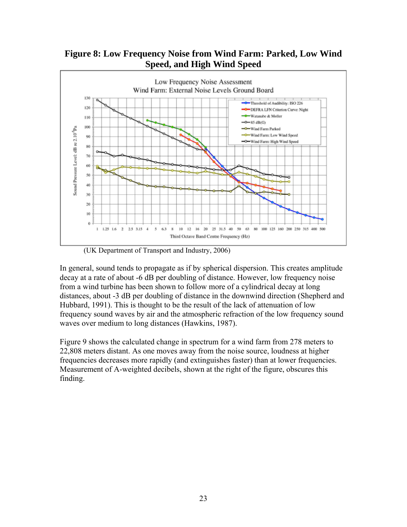

<span id="page-25-0"></span>**Figure 8: Low Frequency Noise from Wind Farm: Parked, Low Wind Speed, and High Wind Speed** 

(UK Department of Transport and Industry, 2006)

In general, sound tends to propagate as if by spherical dispersion. This creates amplitude decay at a rate of about -6 dB per doubling of distance. However, low frequency noise from a wind turbine has been shown to follow more of a cylindrical decay at long distances, about -3 dB per doubling of distance in the downwind direction (Shepherd and Hubbard, 1991). This is thought to be the result of the lack of attenuation of low frequency sound waves by air and the atmospheric refraction of the low frequency sound waves over medium to long distances (Hawkins, 1987).

Figure 9 shows the calculated change in spectrum for a wind farm from 278 meters to 22,808 meters distant. As one moves away from the noise source, loudness at higher frequencies decreases more rapidly (and extinguishes faster) than at lower frequencies. Measurement of A-weighted decibels, shown at the right of the figure, obscures this finding.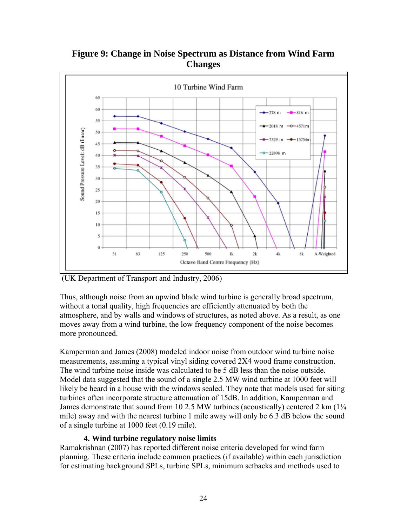

<span id="page-26-0"></span>**Figure 9: Change in Noise Spectrum as Distance from Wind Farm Changes** 

(UK Department of Transport and Industry, 2006)

Thus, although noise from an upwind blade wind turbine is generally broad spectrum, without a tonal quality, high frequencies are efficiently attenuated by both the atmosphere, and by walls and windows of structures, as noted above. As a result, as one moves away from a wind turbine, the low frequency component of the noise becomes more pronounced.

Kamperman and James (2008) modeled indoor noise from outdoor wind turbine noise measurements, assuming a typical vinyl siding covered 2X4 wood frame construction. The wind turbine noise inside was calculated to be 5 dB less than the noise outside. Model data suggested that the sound of a single 2.5 MW wind turbine at 1000 feet will likely be heard in a house with the windows sealed. They note that models used for siting turbines often incorporate structure attenuation of 15dB. In addition, Kamperman and James demonstrate that sound from 10 2.5 MW turbines (acoustically) centered 2 km  $(1/4)$ mile) away and with the nearest turbine 1 mile away will only be 6.3 dB below the sound of a single turbine at 1000 feet (0.19 mile).

#### **4. Wind turbine regulatory noise limits**

Ramakrishnan (2007) has reported different noise criteria developed for wind farm planning. These criteria include common practices (if available) within each jurisdiction for estimating background SPLs, turbine SPLs, minimum setbacks and methods used to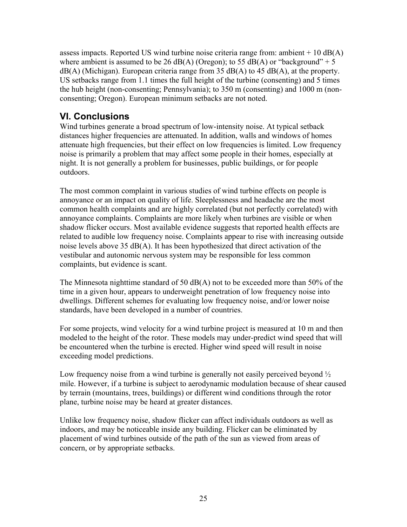<span id="page-27-0"></span>assess impacts. Reported US wind turbine noise criteria range from: ambient  $+10$  dB(A) where ambient is assumed to be 26 dB(A) (Oregon); to 55 dB(A) or "background" + 5  $dB(A)$  (Michigan). European criteria range from 35  $dB(A)$  to 45  $dB(A)$ , at the property. US setbacks range from 1.1 times the full height of the turbine (consenting) and 5 times the hub height (non-consenting; Pennsylvania); to 350 m (consenting) and 1000 m (nonconsenting; Oregon). European minimum setbacks are not noted.

# **VI. Conclusions**

Wind turbines generate a broad spectrum of low-intensity noise. At typical setback distances higher frequencies are attenuated. In addition, walls and windows of homes attenuate high frequencies, but their effect on low frequencies is limited. Low frequency noise is primarily a problem that may affect some people in their homes, especially at night. It is not generally a problem for businesses, public buildings, or for people outdoors.

The most common complaint in various studies of wind turbine effects on people is annoyance or an impact on quality of life. Sleeplessness and headache are the most common health complaints and are highly correlated (but not perfectly correlated) with annoyance complaints. Complaints are more likely when turbines are visible or when shadow flicker occurs. Most available evidence suggests that reported health effects are related to audible low frequency noise. Complaints appear to rise with increasing outside noise levels above 35 dB(A). It has been hypothesized that direct activation of the vestibular and autonomic nervous system may be responsible for less common complaints, but evidence is scant.

The Minnesota nighttime standard of 50 dB(A) not to be exceeded more than 50% of the time in a given hour, appears to underweight penetration of low frequency noise into dwellings. Different schemes for evaluating low frequency noise, and/or lower noise standards, have been developed in a number of countries.

For some projects, wind velocity for a wind turbine project is measured at 10 m and then modeled to the height of the rotor. These models may under-predict wind speed that will be encountered when the turbine is erected. Higher wind speed will result in noise exceeding model predictions.

Low frequency noise from a wind turbine is generally not easily perceived beyond  $\frac{1}{2}$ mile. However, if a turbine is subject to aerodynamic modulation because of shear caused by terrain (mountains, trees, buildings) or different wind conditions through the rotor plane, turbine noise may be heard at greater distances.

Unlike low frequency noise, shadow flicker can affect individuals outdoors as well as indoors, and may be noticeable inside any building. Flicker can be eliminated by placement of wind turbines outside of the path of the sun as viewed from areas of concern, or by appropriate setbacks.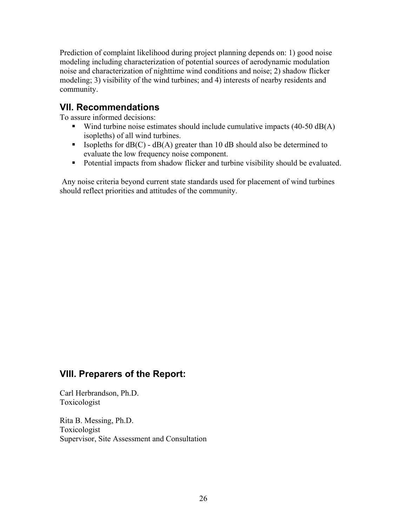<span id="page-28-0"></span>Prediction of complaint likelihood during project planning depends on: 1) good noise modeling including characterization of potential sources of aerodynamic modulation noise and characterization of nighttime wind conditions and noise; 2) shadow flicker modeling; 3) visibility of the wind turbines; and 4) interests of nearby residents and community.

# **VII. Recommendations**

To assure informed decisions:

- Wind turbine noise estimates should include cumulative impacts  $(40-50 \text{ dB}(A))$ isopleths) of all wind turbines.
- **ISOPLERENT SHOULD dB(A)** greater than 10 dB should also be determined to evaluate the low frequency noise component.
- Potential impacts from shadow flicker and turbine visibility should be evaluated.

 Any noise criteria beyond current state standards used for placement of wind turbines should reflect priorities and attitudes of the community.

# **VIII. Preparers of the Report:**

Carl Herbrandson, Ph.D. Toxicologist

Rita B. Messing, Ph.D. Toxicologist Supervisor, Site Assessment and Consultation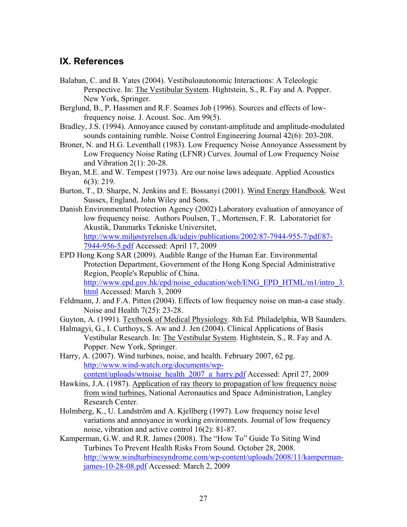# <span id="page-29-0"></span>**IX. References**

- Balaban, C. and B. Yates (2004). Vestibuloautonomic Interactions: A Teleologic Perspective. In: The Vestibular System. Hightstein, S., R. Fay and A. Popper. New York, Springer.
- Berglund, B., P. Hassmen and R.F. Soames Job (1996). Sources and effects of lowfrequency noise. J. Acoust. Soc. Am 99(5).
- Bradley, J.S. (1994). Annoyance caused by constant-amplitude and amplitude-modulated sounds containing rumble. Noise Control Engineering Journal 42(6): 203-208.
- Broner, N. and H.G. Leventhall (1983). Low Frequency Noise Annoyance Assessment by Low Frequency Noise Rating (LFNR) Curves. Journal of Low Frequency Noise and Vibration 2(1): 20-28.
- Bryan, M.E. and W. Tempest (1973). Are our noise laws adequate. Applied Acoustics 6(3): 219.
- Burton, T., D. Sharpe, N. Jenkins and E. Bossanyi (2001). Wind Energy Handbook. West Sussex, England, John Wiley and Sons.
- Danish Environmental Protection Agency (2002) Laboratory evaluation of annoyance of low frequency noise. Authors Poulsen, T., Mortensen, F. R. Laboratoriet for Akustik, Danmarks Tekniske Universitet, [http://www.miljøstyrelsen.dk/udgiv/publications/2002/87-7944-955-7/pdf/87-](http://www.milj%C3%B8styrelsen.dk/udgiv/publications/2002/87-7944-955-7/pdf/87-7944-956-5.pdf) [7944-956-5.pdf](http://www.milj%C3%B8styrelsen.dk/udgiv/publications/2002/87-7944-955-7/pdf/87-7944-956-5.pdf) Accessed: April 17, 2009
- EPD Hong Kong SAR (2009). Audible Range of the Human Ear. Environmental Protection Department, Government of the Hong Kong Special Administrative Region, People's Republic of China. [http://www.epd.gov.hk/epd/noise\\_education/web/ENG\\_EPD\\_HTML/m1/intro\\_3.](http://www.epd.gov.hk/epd/noise_education/web/ENG_EPD_HTML/m1/intro_3.html) [html](http://www.epd.gov.hk/epd/noise_education/web/ENG_EPD_HTML/m1/intro_3.html) Accessed: March 3, 2009
- Feldmann, J. and F.A. Pitten (2004). Effects of low frequency noise on man-a case study. Noise and Health 7(25): 23-28.
- Guyton, A. (1991). Textbook of Medical Physiology. 8th Ed. Philadelphia, WB Saunders.
- Halmagyi, G., I. Curthoys, S. Aw and J. Jen (2004). Clinical Applications of Basis Vestibular Research. In: The Vestibular System. Hightstein, S., R. Fay and A. Popper. New York, Springer.
- Harry, A. (2007). Wind turbines, noise, and health. February 2007, 62 pg. [http://www.wind-watch.org/documents/wp](http://www.wind-watch.org/documents/wp-content/uploads/wtnoise_health_2007_a_harry.pdf)[content/uploads/wtnoise\\_health\\_2007\\_a\\_harry.pdf](http://www.wind-watch.org/documents/wp-content/uploads/wtnoise_health_2007_a_harry.pdf) Accessed: April 27, 2009
- Hawkins, J.A. (1987). Application of ray theory to propagation of low frequency noise from wind turbines, National Aeronautics and Space Administration, Langley Research Center.
- Holmberg, K., U. Landström and A. Kjellberg (1997). Low frequency noise level variations and annoyance in working environments. Journal of low frequency noise, vibration and active control 16(2): 81-87.
- Kamperman, G.W. and R.R. James (2008). The "How To" Guide To Siting Wind Turbines To Prevent Health Risks From Sound. October 28, 2008. [http://www.windturbinesyndrome.com/wp-content/uploads/2008/11/kamperman](http://www.windturbinesyndrome.com/wp-content/uploads/2008/11/kamperman-james-10-28-08.pdf)[james-10-28-08.pdf](http://www.windturbinesyndrome.com/wp-content/uploads/2008/11/kamperman-james-10-28-08.pdf) Accessed: March 2, 2009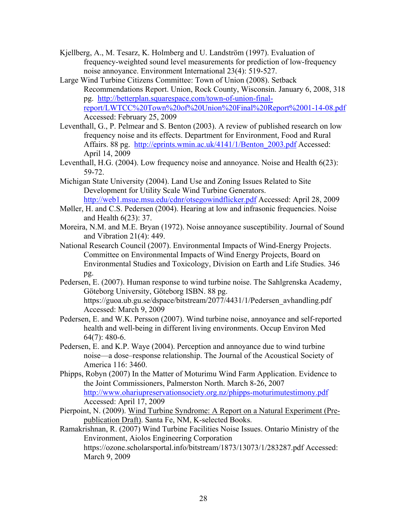- Kjellberg, A., M. Tesarz, K. Holmberg and U. Landström (1997). Evaluation of frequency-weighted sound level measurements for prediction of low-frequency noise annoyance. Environment International 23(4): 519-527.
- Large Wind Turbine Citizens Committee: Town of Union (2008). Setback Recommendations Report. Union, Rock County, Wisconsin. January 6, 2008, 318 pg. [http://betterplan.squarespace.com/town-of-union-final](http://betterplan.squarespace.com/town-of-union-final-report/LWTCC%20Town%20of%20Union%20Final%20Report%2001-14-08.pdf)[report/LWTCC%20Town%20of%20Union%20Final%20Report%2001-14-08.pdf](http://betterplan.squarespace.com/town-of-union-final-report/LWTCC%20Town%20of%20Union%20Final%20Report%2001-14-08.pdf) Accessed: February 25, 2009
- Leventhall, G., P. Pelmear and S. Benton (2003). A review of published research on low frequency noise and its effects. Department for Environment, Food and Rural Affairs. 88 pg. [http://eprints.wmin.ac.uk/4141/1/Benton\\_2003.pdf](http://eprints.wmin.ac.uk/4141/1/Benton_2003.pdf) Accessed: April 14, 2009
- Leventhall, H.G. (2004). Low frequency noise and annoyance. Noise and Health 6(23): 59-72.
- Michigan State University (2004). Land Use and Zoning Issues Related to Site Development for Utility Scale Wind Turbine Generators. <http://web1.msue.msu.edu/cdnr/otsegowindflicker.pdf>Accessed: April 28, 2009
- Møller, H. and C.S. Pedersen (2004). Hearing at low and infrasonic frequencies. Noise and Health 6(23): 37.
- Moreira, N.M. and M.E. Bryan (1972). Noise annoyance susceptibility. Journal of Sound and Vibration 21(4): 449.
- National Research Council (2007). Environmental Impacts of Wind-Energy Projects. Committee on Environmental Impacts of Wind Energy Projects, Board on Environmental Studies and Toxicology, Division on Earth and Life Studies. 346 pg.
- Pedersen, E. (2007). Human response to wind turbine noise. The Sahlgrenska Academy, Göteborg University, Göteborg ISBN. 88 pg. https://guoa.ub.gu.se/dspace/bitstream/2077/4431/1/Pedersen\_avhandling.pdf Accessed: March 9, 2009
- Pedersen, E. and W.K. Persson (2007). Wind turbine noise, annoyance and self-reported health and well-being in different living environments. Occup Environ Med 64(7): 480-6.
- Pedersen, E. and K.P. Waye (2004). Perception and annoyance due to wind turbine noise—a dose–response relationship. The Journal of the Acoustical Society of America 116: 3460.
- Phipps, Robyn (2007) In the Matter of Moturimu Wind Farm Application. Evidence to the Joint Commissioners, Palmerston North. March 8-26, 2007 <http://www.ohariupreservationsociety.org.nz/phipps-moturimutestimony.pdf> Accessed: April 17, 2009
- Pierpoint, N. (2009). Wind Turbine Syndrome: A Report on a Natural Experiment (Prepublication Draft). Santa Fe, NM, K-selected Books.

Ramakrishnan, R. (2007) Wind Turbine Facilities Noise Issues. Ontario Ministry of the Environment, Aiolos Engineering Corporation https://ozone.scholarsportal.info/bitstream/1873/13073/1/283287.pdf Accessed: March 9, 2009